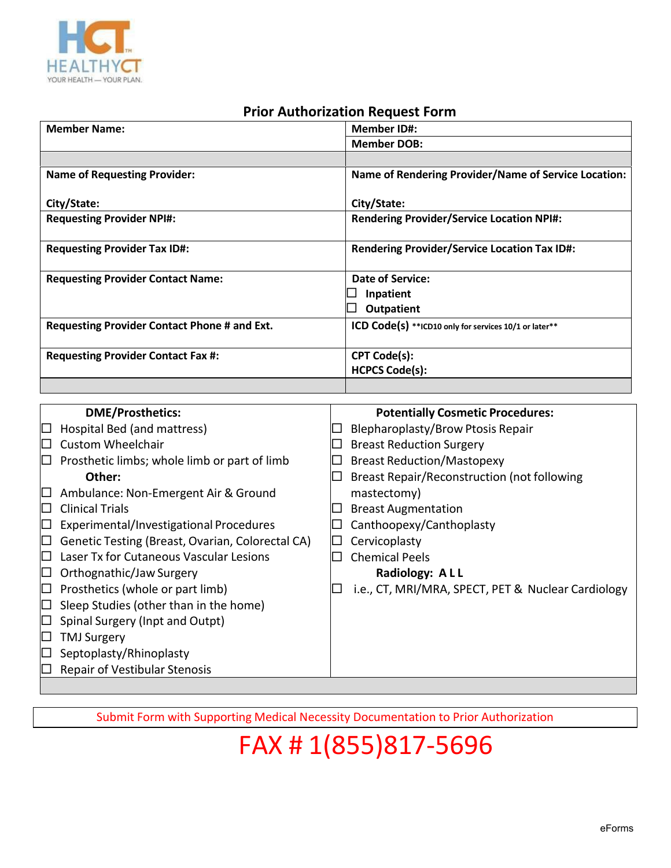

#### **Prior Authorization Request Form**

| <b>Member Name:</b>                          | <b>Member ID#:</b>                                    |  |
|----------------------------------------------|-------------------------------------------------------|--|
|                                              | <b>Member DOB:</b>                                    |  |
|                                              |                                                       |  |
| <b>Name of Requesting Provider:</b>          | Name of Rendering Provider/Name of Service Location:  |  |
|                                              |                                                       |  |
| City/State:                                  | City/State:                                           |  |
| <b>Requesting Provider NPI#:</b>             | <b>Rendering Provider/Service Location NPI#:</b>      |  |
|                                              |                                                       |  |
| <b>Requesting Provider Tax ID#:</b>          | <b>Rendering Provider/Service Location Tax ID#:</b>   |  |
|                                              |                                                       |  |
| <b>Requesting Provider Contact Name:</b>     | <b>Date of Service:</b>                               |  |
|                                              | Inpatient                                             |  |
|                                              | <b>Outpatient</b>                                     |  |
| Requesting Provider Contact Phone # and Ext. | ICD Code(s) **ICD10 only for services 10/1 or later** |  |
|                                              |                                                       |  |
| <b>Requesting Provider Contact Fax #:</b>    | <b>CPT Code(s):</b>                                   |  |
|                                              | <b>HCPCS Code(s):</b>                                 |  |
|                                              |                                                       |  |

|        | <b>DME/Prosthetics:</b>                          | <b>Potentially Cosmetic Procedures:</b>            |
|--------|--------------------------------------------------|----------------------------------------------------|
| □      | Hospital Bed (and mattress)                      | Blepharoplasty/Brow Ptosis Repair                  |
| $\Box$ | <b>Custom Wheelchair</b>                         | <b>Breast Reduction Surgery</b>                    |
| $\Box$ | Prosthetic limbs; whole limb or part of limb     | <b>Breast Reduction/Mastopexy</b>                  |
|        | Other:                                           | Breast Repair/Reconstruction (not following        |
| ⊓      | Ambulance: Non-Emergent Air & Ground             | mastectomy)                                        |
| $\Box$ | <b>Clinical Trials</b>                           | <b>Breast Augmentation</b>                         |
| $\Box$ | Experimental/Investigational Procedures          | Canthoopexy/Canthoplasty                           |
| □      | Genetic Testing (Breast, Ovarian, Colorectal CA) | Cervicoplasty                                      |
| □      | Laser Tx for Cutaneous Vascular Lesions          | <b>Chemical Peels</b>                              |
|        | Orthognathic/Jaw Surgery                         | Radiology: ALL                                     |
| □      | Prosthetics (whole or part limb)                 | i.e., CT, MRI/MRA, SPECT, PET & Nuclear Cardiology |
|        | Sleep Studies (other than in the home)           |                                                    |
|        | Spinal Surgery (Inpt and Outpt)                  |                                                    |
|        | <b>TMJ Surgery</b>                               |                                                    |
|        | Septoplasty/Rhinoplasty                          |                                                    |
|        | <b>Repair of Vestibular Stenosis</b>             |                                                    |
|        |                                                  |                                                    |

Submit Form with Supporting Medical Necessity Documentation to Prior Authorization

# FAX # 1(855)817-5696